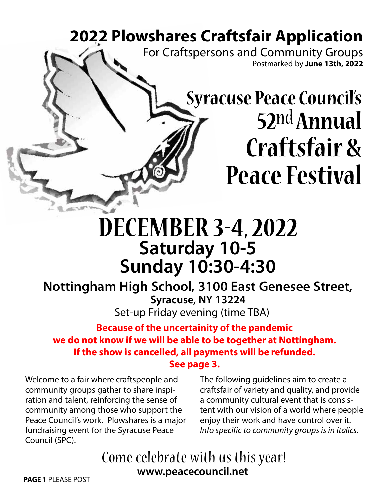# **2022 Plowshares Craftsfair Application**

For Craftspersons and Community Groups Postmarked by **June 13th, 2022**

# **Syracuse Peace Council's 52**nd **Annual Craftsfair & Peace Festival**

# **DECEMBER 3-4, 2022 Saturday 10-5 Sunday 10:30-4:30**

**Nottingham High School, 3100 East Genesee Street, Syracuse, NY 13224** Set-up Friday evening (time TBA)

**Because of the uncertainity of the pandemic we do not know if we will be able to be together at Nottingham. If the show is cancelled, all payments will be refunded. See page 3.**

Welcome to a fair where craftspeople and community groups gather to share inspiration and talent, reinforcing the sense of community among those who support the Peace Council's work. Plowshares is a major fundraising event for the Syracuse Peace Council (SPC).

The following guidelines aim to create a craftsfair of variety and quality, and provide a community cultural event that is consistent with our vision of a world where people enjoy their work and have control over it. *Info specific to community groups is in italics.*

## **PAGE 1** PLEASE POST **www.peacecouncil.net** Come celebrate with us this year!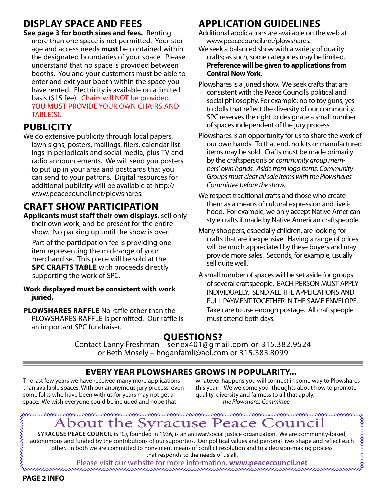### **display space and fees**

**See page 3 for booth sizes and fees.** Renting more than one space is not permitted. Your storage and access needs **must** be contained within the designated boundaries of your space. Please understand that no space is provided between booths. You and your customers must be able to enter and exit your booth within the space you have rented. Electricity is available on a limited basis (\$15 fee). Chairs will NOT be provided. you must provide your own CHAIRS AND TABLE(S).

### **publicity**

We do extensive publicity through local papers, lawn signs, posters, mailings, fliers, calendar listings in periodicals and social media, plus TV and radio announcements. We will send you posters to put up in your area and postcards that you can send to your patrons. Digital resources for additional publicity will be available at http:// www.peacecouncil.net/plowshares.

### **Craft show participation**

**Applicants must staff their own displays**, sell only their own work, and be present for the entire show. No packing up until the show is over.

 Part of the participation fee is providing one item representing the mid-range of your merchandise. This piece will be sold at the **SPC CRAFTS TABLE** with proceeds directly supporting the work of SPC.

#### **Work displayed must be consistent with work juried.**

**Plowshares Raffle** No raffle other than the PLOWSHARES RAFFLE is permitted. Our raffle is an important SPC fundraiser.

### **application guidelines**

Additional applications are available on the web at www.peacecouncil.net/plowshares.

- We seek a balanced show with a variety of quality crafts; as such, some categories may be limited. **Preference will be given to applications from Central New York.**
- Plowshares is a juried show. We seek crafts that are consistent with the Peace Council's political and social philosophy. For example: no to toy guns; yes to dolls that reflect the diversity of our community. SPC reserves the right to designate a small number of spaces independent of the jury process.
- Plowshares is an opportunity for us to share the work of our own hands. To that end, no kits or manufactured items may be sold. Crafts must be made primarily by the craftsperson's or *community group members' own hands. Aside from logo items, Community Groups must clear all sale items with the Plowshares Committee before the show.*
- We respect traditional crafts and those who create them as a means of cultural expression and livelihood. For example, we only accept Native American style crafts if made by Native American craftspeople.
- Many shoppers, especially children, are looking for crafts that are inexpensive. Having a range of prices will be much appreciated by these buyers and may provide more sales. Seconds, for example, usually sell quite well.
- A small number of spaces will be set aside for groups of several craftspeople. EACH PERSON MUST APPLY INDIVIDUALLY. SEND ALL THE APPLICATIONS AND FULL PAYMENT TOGETHER IN THE SAME ENVELOPE. Take care to use enough postage. All craftspeople must attend both days.

#### **QUESTIONS?**

Contact Lanny Freshman – senex401@gmail.com or 315.382.9524 or Beth Mosely – hoganfamli@aol.com or 315.383.8099

#### **every year Plowshares grows in popularity...**

The last few years we have received many more applications than available spaces. With our anonymous jury process, even some folks who have been with us for years may not get a space. We wish everyone could be included and hope that

whatever happens you will connect in some way to Plowshares this year. We welcome your thoughts about how to promote quality, diversity and fairness to all that apply. – *the Plowshares Committee*

# About the Syracuse Peace Council

**Synacuse Peace** Council (SPC), founded in 1936, is an antiwar/social justice organization. We are community-based,<br>
SYRACUSE PEACE COUNCIL (SPC), founded in 1936, is an antiwar/social justice organization. We are communit autonomous and funded by the contributions of our supporters. Our political values and personal lives shape and reflect each other. In both we are committed to nonviolent means of conflict resolution and to a decision-making process that responds to the needs of us all.

Please visit our website for more information. **www.peacecouncil.net**

**MMMMMMMMMMM** 

**PAGE 2 INFO**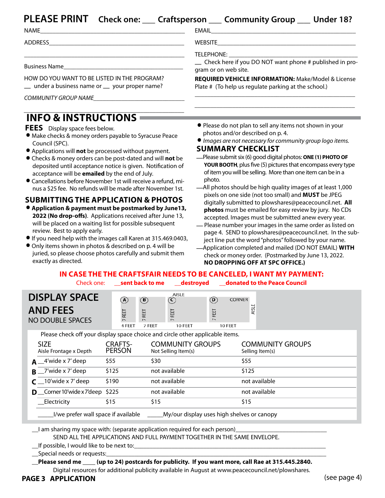### **PLEASE PRINT Check one:** \_\_ **Craftsperson** \_\_ **Community Group** \_\_ **Under 18?**

ADDRESS\_\_\_\_\_\_\_\_\_\_\_\_\_\_\_\_\_\_\_\_\_\_\_\_\_\_\_\_\_\_\_\_\_\_\_\_\_\_\_\_\_\_\_

Business Name

EMAIL

WEBSITE\_\_\_\_\_\_\_\_\_\_\_\_\_\_\_\_\_\_\_\_\_\_\_\_\_\_\_\_\_\_\_\_\_\_\_\_\_\_\_\_\_\_\_\_

TELEPHONE:

\_ Check here if you DO NOT want phone # published in program or on web site.

HOW DO YOU WANT TO BE LISTED IN THE PROGRAM? \_ under a business name or \_ your proper name? **REQUIRED Vehicle Information:** Make/Model & License Plate # (To help us regulate parking at the school.)

*COMMUNITY GROUP NAME\_\_\_\_\_\_\_\_\_\_\_\_\_\_\_\_\_\_\_\_\_\_\_\_\_\_\_\_\_*

#### **INFO & INSTRUCTION** *\_\_\_\_\_\_\_\_\_\_\_\_\_\_\_\_\_\_\_\_\_\_\_\_\_\_\_\_\_\_\_\_\_\_\_\_\_\_\_\_\_\_\_\_\_\_\_\_\_\_\_*

**FEES** Display space fees below.

INFO & INSTRUCTIONS<br>FEES Display space fees below.<br>• Make checks & money orders payable to Syracuse Peace Council (SPC). ■ Make checks & money orders payable to Syracuse Per<br>
Council (SPC).<br>
● Applications will **not** be processed without payment.

\_\_\_\_\_\_\_\_\_\_\_\_\_\_\_\_\_\_\_\_\_\_\_\_\_\_\_\_\_\_\_\_\_\_\_\_\_\_\_\_\_\_\_\_\_\_\_\_\_\_\_

- 
- Applications will **not** be processed without payment.<br>● Checks & money orders can be post-dated and will **not** be deposited until acceptance notice is given. Notification of acceptance will be **emailed** by the end of July.<br>
• Cancellations before November 1st will receive a refund, miacceptance will be **emailed** by the end of July.
- nus a \$25 fee. No refunds will be made after November 1st.

#### **Submitting the Application & Photos**

- .**Application & payment must be postmarked by June13, 2022 (No drop-offs)**. Applications received after June 13, will be placed on a waiting list for possible subsequent review. Best to apply early. LOLE (NO GIOP ONS). Repheations received arter same 15,<br>
will be placed on a waiting list for possible subsequent<br>
review. Best to apply early.<br>
■ If you need help with the images call Karen at 315.469.0403, mi is e placed on a wanting instruct possible subsequent<br>review. Best to apply early.<br>● If you need help with the images call Karen at 315.469.0<br>● Only items shown in photos & described on p. 4 will be
- 
- juried, so please choose photos carefully and submit them exactly as directed.
- \_\_\_\_\_\_\_\_\_\_\_\_\_\_\_\_\_\_\_\_\_\_\_\_\_\_\_\_\_\_\_\_\_\_\_\_\_\_\_\_\_\_\_\_\_\_\_\_\_\_\_ \_\_\_\_\_\_\_\_\_\_\_\_\_\_\_\_\_\_\_\_\_\_\_\_\_\_\_\_\_\_\_\_\_\_\_\_\_\_\_\_\_\_\_\_\_\_\_\_\_\_\_
- . Please do not plan to sell any items not shown in your photos and/or described on p. 4.
- . *Images are not necessary for community group logo items.*

- **Summary Checklist** Education Checklist and **Check Check Check Check Check Check Check Check Check Check Check Check Check Check Check Check Check Check Check Check Check Check C YOUR BOOTH**, plus five (5) pictures that encompass every type of item you will be selling. More than one item can be in a photo.<br>—All photos should be high quality images of at least 1,000
- pixels on one side (not too small) and **must** be JPEG digitally submitted to plowshares@peacecouncil.net. **All photos** must be emailed for easy review by jury. No CDs accepted. Images must be submitted anew every year.<br>Please number your images in the same order as listed on
- page 4. SEND to plowshares@peacecouncil.net. In the subject line put the word "photos" followed by your name. \_Application completed and mailed (DO NOT EMAIL) **with**
- check or money order. (Postmarked by June 13, 2022.  **No dropping off at SPC office.)**

#### **In case the the craftsfair needs to be canceled, I want my payment:** Check one: \_\_**sent back to me** \_\_**destroyed** \_\_**donated to the Peace Council**

| <b>DISPLAY SPACE</b><br><b>AND FEES</b><br>NO DOUBLE SPACES                   | $\left( \mathbf{A}\right)$<br>EET | $\bigcirc$<br>EET<br>$\overline{\phantom{0}}$ | AISLE<br>$\circled{c}$<br>FEET<br>$\overline{\phantom{0}}$ | $^\text{\textregistered}$<br>EET<br>$\overline{ }$ | <b>CORNER</b><br>AISLE                     |  |  |
|-------------------------------------------------------------------------------|-----------------------------------|-----------------------------------------------|------------------------------------------------------------|----------------------------------------------------|--------------------------------------------|--|--|
|                                                                               | 4 FEET                            | 7 FEET                                        | 10 FEET                                                    | 10 FEET                                            |                                            |  |  |
| Please check off your display space choice and circle other applicable items. |                                   |                                               |                                                            |                                                    |                                            |  |  |
| <b>SIZE</b><br>Aisle Frontage x Depth                                         | <b>CRAFTS-</b><br><b>PERSON</b>   |                                               | <b>COMMUNITY GROUPS</b><br>Not Selling Item(s)             |                                                    | <b>COMMUNITY GROUPS</b><br>Selling Item(s) |  |  |
| $A_4$ 'wide x 7' deep                                                         | \$55                              | \$30                                          |                                                            |                                                    | \$55                                       |  |  |
| $B_{1}$ /wide x 7' deep                                                       | \$125                             |                                               | not available                                              |                                                    | \$125                                      |  |  |
| $C_{\text{10}}$ 10'wide x 7' deep                                             | \$190                             |                                               | not available                                              |                                                    | not available                              |  |  |
| <b>D</b> Corner 10'wide x 7'deep $$225$                                       |                                   |                                               | not available                                              |                                                    | not available                              |  |  |

\_\_\_\_\_I/we prefer wall space if available \_\_\_\_\_My/our display uses high shelves or canopy

 $_1$  am sharing my space with: (separate application required for each person)

\_\_Electricity \$15 \$15 \$15

SEND ALL THE APPLICATIONS AND FULL PAYMENT TOGETHER IN THE SAME ENVELOPE.

 $\Box$  If possible, I would like to be next to:

\_\_Special needs or requests:\_\_\_\_\_\_\_\_\_\_\_\_\_\_\_\_\_\_\_\_\_\_\_\_\_\_\_\_\_\_\_\_\_\_\_\_\_\_\_\_\_\_\_\_\_\_\_\_\_\_\_\_\_\_\_\_\_\_\_\_\_\_\_\_\_\_\_\_\_\_

 **\_\_Please send me (up to 24) postcards for publicity. If you want more, call Rae at 315.445.2840.**

Digital resources for additional publicity available in August at www.peacecouncil.net/plowshares.